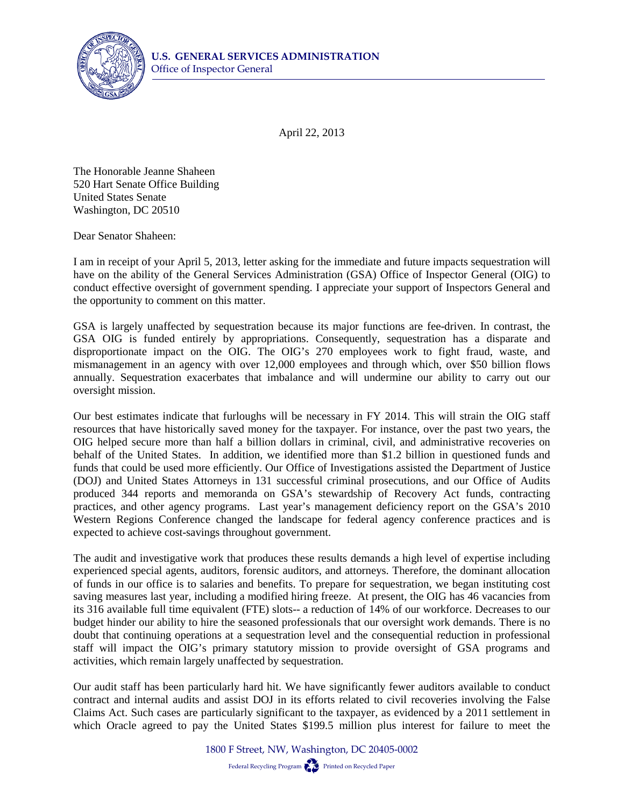

April 22, 2013

The Honorable Jeanne Shaheen 520 Hart Senate Office Building United States Senate Washington, DC 20510

Dear Senator Shaheen:

I am in receipt of your April 5, 2013, letter asking for the immediate and future impacts sequestration will have on the ability of the General Services Administration (GSA) Office of Inspector General (OIG) to conduct effective oversight of government spending. I appreciate your support of Inspectors General and the opportunity to comment on this matter.

GSA is largely unaffected by sequestration because its major functions are fee-driven. In contrast, the GSA OIG is funded entirely by appropriations. Consequently, sequestration has a disparate and disproportionate impact on the OIG. The OIG's 270 employees work to fight fraud, waste, and mismanagement in an agency with over 12,000 employees and through which, over \$50 billion flows annually. Sequestration exacerbates that imbalance and will undermine our ability to carry out our oversight mission.

Our best estimates indicate that furloughs will be necessary in FY 2014. This will strain the OIG staff resources that have historically saved money for the taxpayer. For instance, over the past two years, the OIG helped secure more than half a billion dollars in criminal, civil, and administrative recoveries on behalf of the United States. In addition, we identified more than \$1.2 billion in questioned funds and funds that could be used more efficiently. Our Office of Investigations assisted the Department of Justice (DOJ) and United States Attorneys in 131 successful criminal prosecutions, and our Office of Audits produced 344 reports and memoranda on GSA's stewardship of Recovery Act funds, contracting practices, and other agency programs. Last year's management deficiency report on the GSA's 2010 Western Regions Conference changed the landscape for federal agency conference practices and is expected to achieve cost-savings throughout government.

The audit and investigative work that produces these results demands a high level of expertise including experienced special agents, auditors, forensic auditors, and attorneys. Therefore, the dominant allocation of funds in our office is to salaries and benefits. To prepare for sequestration, we began instituting cost saving measures last year, including a modified hiring freeze. At present, the OIG has 46 vacancies from its 316 available full time equivalent (FTE) slots-- a reduction of 14% of our workforce. Decreases to our budget hinder our ability to hire the seasoned professionals that our oversight work demands. There is no doubt that continuing operations at a sequestration level and the consequential reduction in professional staff will impact the OIG's primary statutory mission to provide oversight of GSA programs and activities, which remain largely unaffected by sequestration.

Our audit staff has been particularly hard hit. We have significantly fewer auditors available to conduct contract and internal audits and assist DOJ in its efforts related to civil recoveries involving the False Claims Act. Such cases are particularly significant to the taxpayer, as evidenced by a 2011 settlement in which Oracle agreed to pay the United States \$199.5 million plus interest for failure to meet the